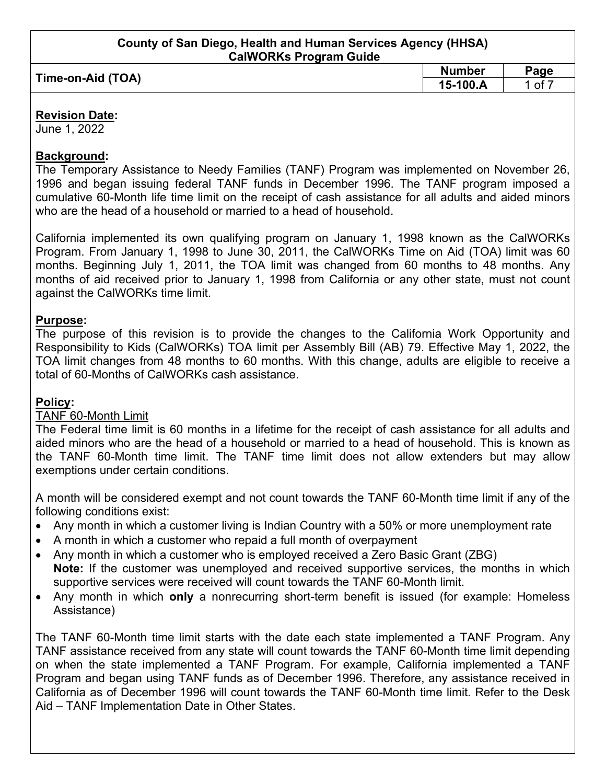|                   | <b>Number</b> | $\mathsf{p}_{\text{age}}$ |
|-------------------|---------------|---------------------------|
| Time-on-Aid (TOA) | 15-100.A      | οt                        |
|                   |               |                           |

### **Revision Date:**

June 1, 2022

### **Background:**

The Temporary Assistance to Needy Families (TANF) Program was implemented on November 26, 1996 and began issuing federal TANF funds in December 1996. The TANF program imposed a cumulative 60-Month life time limit on the receipt of cash assistance for all adults and aided minors who are the head of a household or married to a head of household.

California implemented its own qualifying program on January 1, 1998 known as the CalWORKs Program. From January 1, 1998 to June 30, 2011, the CalWORKs Time on Aid (TOA) limit was 60 months. Beginning July 1, 2011, the TOA limit was changed from 60 months to 48 months. Any months of aid received prior to January 1, 1998 from California or any other state, must not count against the CalWORKs time limit.

# **Purpose:**

The purpose of this revision is to provide the changes to the California Work Opportunity and Responsibility to Kids (CalWORKs) TOA limit per Assembly Bill (AB) 79. Effective May 1, 2022, the TOA limit changes from 48 months to 60 months. With this change, adults are eligible to receive a total of 60-Months of CalWORKs cash assistance.

# **Policy:**

# TANF 60-Month Limit

The Federal time limit is 60 months in a lifetime for the receipt of cash assistance for all adults and aided minors who are the head of a household or married to a head of household. This is known as the TANF 60-Month time limit. The TANF time limit does not allow extenders but may allow exemptions under certain conditions.

A month will be considered exempt and not count towards the TANF 60-Month time limit if any of the following conditions exist:

- Any month in which a customer living is Indian Country with a 50% or more unemployment rate
- A month in which a customer who repaid a full month of overpayment
- Any month in which a customer who is employed received a Zero Basic Grant (ZBG) **Note:** If the customer was unemployed and received supportive services, the months in which supportive services were received will count towards the TANF 60-Month limit.
- Any month in which **only** a nonrecurring short-term benefit is issued (for example: Homeless Assistance)

The TANF 60-Month time limit starts with the date each state implemented a TANF Program. Any TANF assistance received from any state will count towards the TANF 60-Month time limit depending on when the state implemented a TANF Program. For example, California implemented a TANF Program and began using TANF funds as of December 1996. Therefore, any assistance received in California as of December 1996 will count towards the TANF 60-Month time limit. Refer to the Desk Aid – TANF Implementation Date in Other States.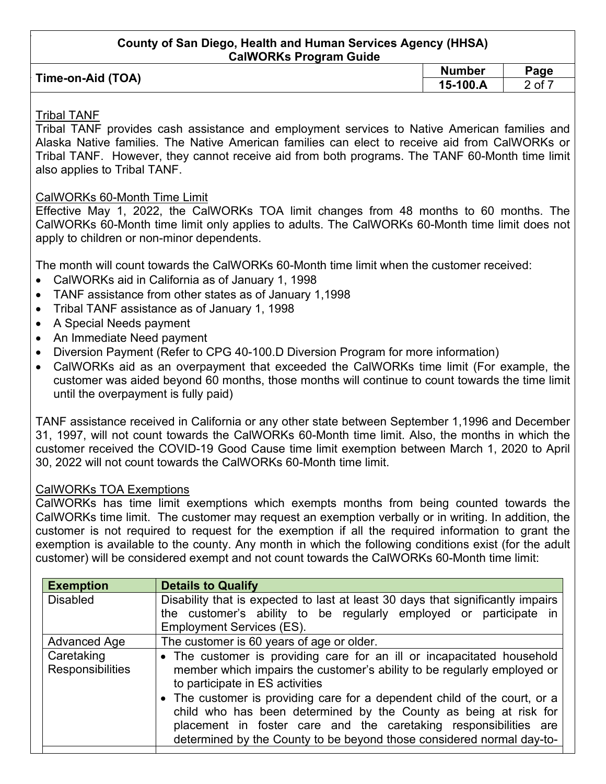| Time-on-Aid (TOA) | <b>Number</b> | Page   |
|-------------------|---------------|--------|
|                   | $15-100.A$    | 2 of 7 |
|                   |               |        |

#### Tribal TANF

Tribal TANF provides cash assistance and employment services to Native American families and Alaska Native families. The Native American families can elect to receive aid from CalWORKs or Tribal TANF. However, they cannot receive aid from both programs. The TANF 60-Month time limit also applies to Tribal TANF.

#### CalWORKs 60-Month Time Limit

Effective May 1, 2022, the CalWORKs TOA limit changes from 48 months to 60 months. The CalWORKs 60-Month time limit only applies to adults. The CalWORKs 60-Month time limit does not apply to children or non-minor dependents.

The month will count towards the CalWORKs 60-Month time limit when the customer received:

- CalWORKs aid in California as of January 1, 1998
- TANF assistance from other states as of January 1,1998
- Tribal TANF assistance as of January 1, 1998
- A Special Needs payment
- An Immediate Need payment
- Diversion Payment (Refer to CPG 40-100.D Diversion Program for more information)
- CalWORKs aid as an overpayment that exceeded the CalWORKs time limit (For example, the customer was aided beyond 60 months, those months will continue to count towards the time limit until the overpayment is fully paid)

TANF assistance received in California or any other state between September 1,1996 and December 31, 1997, will not count towards the CalWORKs 60-Month time limit. Also, the months in which the customer received the COVID-19 Good Cause time limit exemption between March 1, 2020 to April 30, 2022 will not count towards the CalWORKs 60-Month time limit.

#### CalWORKs TOA Exemptions

CalWORKs has time limit exemptions which exempts months from being counted towards the CalWORKs time limit. The customer may request an exemption verbally or in writing. In addition, the customer is not required to request for the exemption if all the required information to grant the exemption is available to the county. Any month in which the following conditions exist (for the adult customer) will be considered exempt and not count towards the CalWORKs 60-Month time limit:

| <b>Exemption</b>                      | <b>Details to Qualify</b>                                                                                                                                                                                                                                                                  |  |  |
|---------------------------------------|--------------------------------------------------------------------------------------------------------------------------------------------------------------------------------------------------------------------------------------------------------------------------------------------|--|--|
| <b>Disabled</b>                       | Disability that is expected to last at least 30 days that significantly impairs<br>the customer's ability to be regularly employed or participate in                                                                                                                                       |  |  |
|                                       | <b>Employment Services (ES).</b>                                                                                                                                                                                                                                                           |  |  |
| <b>Advanced Age</b>                   | The customer is 60 years of age or older.                                                                                                                                                                                                                                                  |  |  |
| Caretaking<br><b>Responsibilities</b> | • The customer is providing care for an ill or incapacitated household<br>member which impairs the customer's ability to be regularly employed or<br>to participate in ES activities                                                                                                       |  |  |
|                                       | • The customer is providing care for a dependent child of the court, or a<br>child who has been determined by the County as being at risk for<br>placement in foster care and the caretaking responsibilities are<br>determined by the County to be beyond those considered normal day-to- |  |  |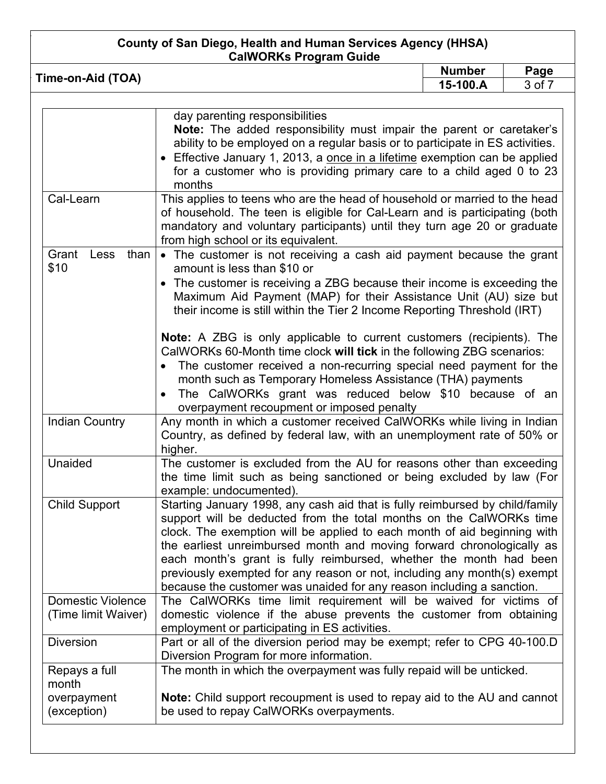| <b>CalWORKs Program Guide</b><br><b>Number</b><br>Page |                                                                                                                                                                                                                                                                                                                                                                                                    |        |  |
|--------------------------------------------------------|----------------------------------------------------------------------------------------------------------------------------------------------------------------------------------------------------------------------------------------------------------------------------------------------------------------------------------------------------------------------------------------------------|--------|--|
| Time-on-Aid (TOA)                                      | 15-100.A                                                                                                                                                                                                                                                                                                                                                                                           | 3 of 7 |  |
|                                                        | day parenting responsibilities<br>Note: The added responsibility must impair the parent or caretaker's<br>ability to be employed on a regular basis or to participate in ES activities.<br>• Effective January 1, 2013, a once in a lifetime exemption can be applied<br>for a customer who is providing primary care to a child aged 0 to 23<br>months                                            |        |  |
| Cal-Learn                                              | This applies to teens who are the head of household or married to the head<br>of household. The teen is eligible for Cal-Learn and is participating (both<br>mandatory and voluntary participants) until they turn age 20 or graduate<br>from high school or its equivalent.                                                                                                                       |        |  |
| Grant<br>than<br>Less<br>\$10                          | • The customer is not receiving a cash aid payment because the grant<br>amount is less than \$10 or<br>• The customer is receiving a ZBG because their income is exceeding the<br>Maximum Aid Payment (MAP) for their Assistance Unit (AU) size but<br>their income is still within the Tier 2 Income Reporting Threshold (IRT)                                                                    |        |  |
|                                                        | <b>Note:</b> A ZBG is only applicable to current customers (recipients). The<br>CalWORKs 60-Month time clock will tick in the following ZBG scenarios:<br>The customer received a non-recurring special need payment for the<br>month such as Temporary Homeless Assistance (THA) payments<br>The CalWORKs grant was reduced below \$10 because of an<br>overpayment recoupment or imposed penalty |        |  |
| <b>Indian Country</b>                                  | Any month in which a customer received CalWORKs while living in Indian<br>Country, as defined by federal law, with an unemployment rate of 50% or<br>hinhar                                                                                                                                                                                                                                        |        |  |

|               | Tiigrier.                                                                    |
|---------------|------------------------------------------------------------------------------|
| Unaided       | The customer is excluded from the AU for reasons other than exceeding        |
|               | the time limit such as being sanctioned or being excluded by law (For        |
|               | example: undocumented).                                                      |
| Child Sunnort | Starting January 1008, any cash aid that is fully reimbursed by child/family |

| Child Support       | Starting January 1998, any cash aid that is fully reimbursed by child/family<br>support will be deducted from the total months on the CalWORKs time<br>clock. The exemption will be applied to each month of aid beginning with<br>the earliest unreimbursed month and moving forward chronologically as<br>each month's grant is fully reimbursed, whether the month had been<br>previously exempted for any reason or not, including any month(s) exempt<br>because the customer was unaided for any reason including a sanction. |
|---------------------|-------------------------------------------------------------------------------------------------------------------------------------------------------------------------------------------------------------------------------------------------------------------------------------------------------------------------------------------------------------------------------------------------------------------------------------------------------------------------------------------------------------------------------------|
| Domestic Violence   | The CalWORKs time limit requirement will be waived for victims of                                                                                                                                                                                                                                                                                                                                                                                                                                                                   |
| (Time limit Waiver) | domestic violence if the abuse prevents the customer from obtaining                                                                                                                                                                                                                                                                                                                                                                                                                                                                 |
|                     | employment or participating in ES activities.                                                                                                                                                                                                                                                                                                                                                                                                                                                                                       |
| <b>Diversion</b>    | Part or all of the diversion period may be exempt; refer to CPG 40-100.D                                                                                                                                                                                                                                                                                                                                                                                                                                                            |
|                     |                                                                                                                                                                                                                                                                                                                                                                                                                                                                                                                                     |

The month in which the overpayment was fully repaid will be unticked.

**Note:** Child support recoupment is used to repay aid to the AU and cannot

Diversion Program for more information.

be used to repay CalWORKs overpayments.

Repays a full

overpayment (exception)

month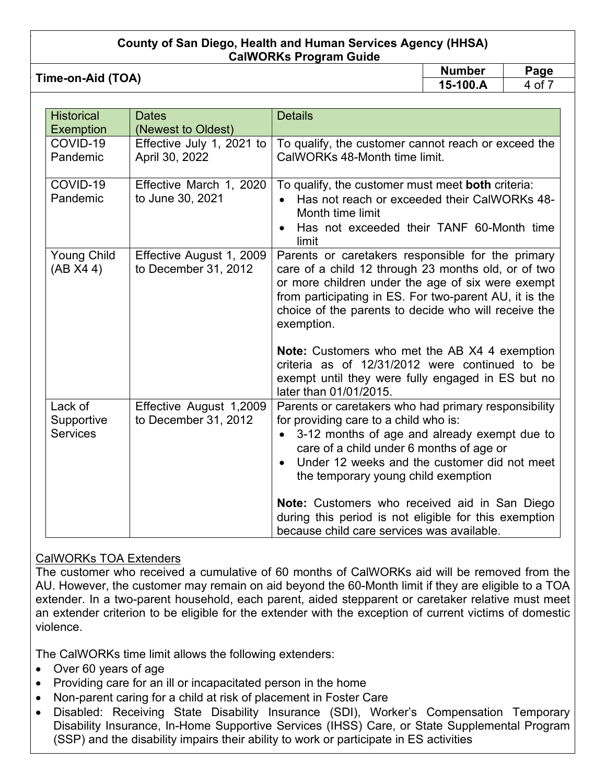**Time-on-Aid (TOA) Number Page**<br> **Page**<br> **Page**<br> **Page** 

15-100.A

| <b>Historical</b>                        | <b>Dates</b><br>(Newest to Oldest)               | <b>Details</b>                                                                                                                                                                                                                                                                                |
|------------------------------------------|--------------------------------------------------|-----------------------------------------------------------------------------------------------------------------------------------------------------------------------------------------------------------------------------------------------------------------------------------------------|
| <b>Exemption</b><br>COVID-19<br>Pandemic | Effective July 1, 2021 to<br>April 30, 2022      | To qualify, the customer cannot reach or exceed the<br>CalWORKs 48-Month time limit.                                                                                                                                                                                                          |
| COVID-19<br>Pandemic                     | Effective March 1, 2020<br>to June 30, 2021      | To qualify, the customer must meet both criteria:<br>Has not reach or exceeded their CalWORKs 48-<br>Month time limit<br>Has not exceeded their TANF 60-Month time<br>limit                                                                                                                   |
| Young Child<br>(AB X4 4)                 | Effective August 1, 2009<br>to December 31, 2012 | Parents or caretakers responsible for the primary<br>care of a child 12 through 23 months old, or of two<br>or more children under the age of six were exempt<br>from participating in ES. For two-parent AU, it is the<br>choice of the parents to decide who will receive the<br>exemption. |
|                                          |                                                  | <b>Note:</b> Customers who met the AB X4 4 exemption<br>criteria as of 12/31/2012 were continued to be<br>exempt until they were fully engaged in ES but no<br>later than 01/01/2015.                                                                                                         |
| Lack of<br>Supportive<br><b>Services</b> | Effective August 1,2009<br>to December 31, 2012  | Parents or caretakers who had primary responsibility<br>for providing care to a child who is:<br>3-12 months of age and already exempt due to<br>$\bullet$<br>care of a child under 6 months of age or<br>Under 12 weeks and the customer did not meet<br>the temporary young child exemption |
|                                          |                                                  | Note: Customers who received aid in San Diego<br>during this period is not eligible for this exemption<br>because child care services was available.                                                                                                                                          |

# CalWORKs TOA Extenders

The customer who received a cumulative of 60 months of CalWORKs aid will be removed from the AU. However, the customer may remain on aid beyond the 60-Month limit if they are eligible to a TOA extender. In a two-parent household, each parent, aided stepparent or caretaker relative must meet an extender criterion to be eligible for the extender with the exception of current victims of domestic violence.

The CalWORKs time limit allows the following extenders:

- Over 60 years of age
- Providing care for an ill or incapacitated person in the home
- Non-parent caring for a child at risk of placement in Foster Care
- Disabled: Receiving State Disability Insurance (SDI), Worker's Compensation Temporary Disability Insurance, In-Home Supportive Services (IHSS) Care, or State Supplemental Program (SSP) and the disability impairs their ability to work or participate in ES activities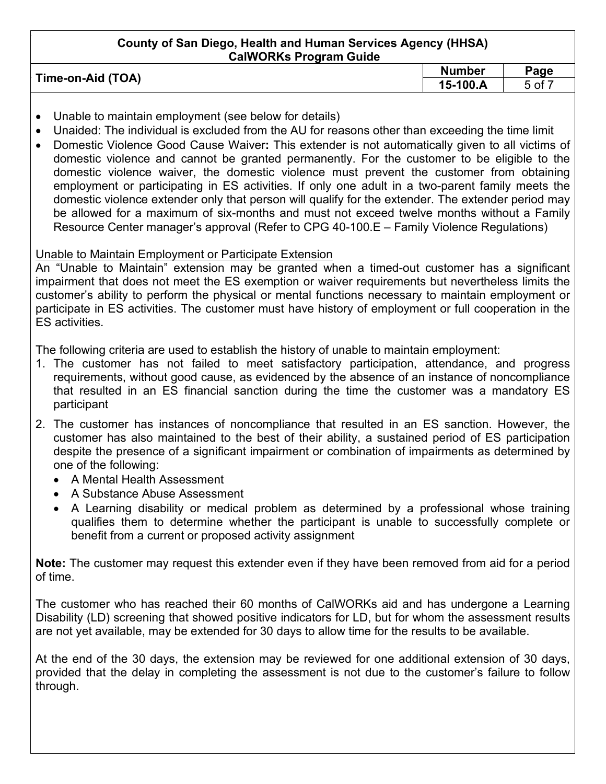| Time-on-Aid (TOA) | <b>Number</b>             | Page             |
|-------------------|---------------------------|------------------|
|                   | $\dot{ }$ 100.A<br>$15-.$ | $5$ of $\degree$ |
|                   |                           |                  |

- Unable to maintain employment (see below for details)
- Unaided: The individual is excluded from the AU for reasons other than exceeding the time limit
- Domestic Violence Good Cause Waiver**:** This extender is not automatically given to all victims of domestic violence and cannot be granted permanently. For the customer to be eligible to the domestic violence waiver, the domestic violence must prevent the customer from obtaining employment or participating in ES activities. If only one adult in a two-parent family meets the domestic violence extender only that person will qualify for the extender. The extender period may be allowed for a maximum of six-months and must not exceed twelve months without a Family Resource Center manager's approval (Refer to CPG 40-100.E – Family Violence Regulations)

### Unable to Maintain Employment or Participate Extension

An "Unable to Maintain" extension may be granted when a timed-out customer has a significant impairment that does not meet the ES exemption or waiver requirements but nevertheless limits the customer's ability to perform the physical or mental functions necessary to maintain employment or participate in ES activities. The customer must have history of employment or full cooperation in the ES activities.

The following criteria are used to establish the history of unable to maintain employment:

- 1. The customer has not failed to meet satisfactory participation, attendance, and progress requirements, without good cause, as evidenced by the absence of an instance of noncompliance that resulted in an ES financial sanction during the time the customer was a mandatory ES participant
- 2. The customer has instances of noncompliance that resulted in an ES sanction. However, the customer has also maintained to the best of their ability, a sustained period of ES participation despite the presence of a significant impairment or combination of impairments as determined by one of the following:
	- A Mental Health Assessment
	- A Substance Abuse Assessment
	- A Learning disability or medical problem as determined by a professional whose training qualifies them to determine whether the participant is unable to successfully complete or benefit from a current or proposed activity assignment

**Note:** The customer may request this extender even if they have been removed from aid for a period of time.

The customer who has reached their 60 months of CalWORKs aid and has undergone a Learning Disability (LD) screening that showed positive indicators for LD, but for whom the assessment results are not yet available, may be extended for 30 days to allow time for the results to be available.

At the end of the 30 days, the extension may be reviewed for one additional extension of 30 days, provided that the delay in completing the assessment is not due to the customer's failure to follow through.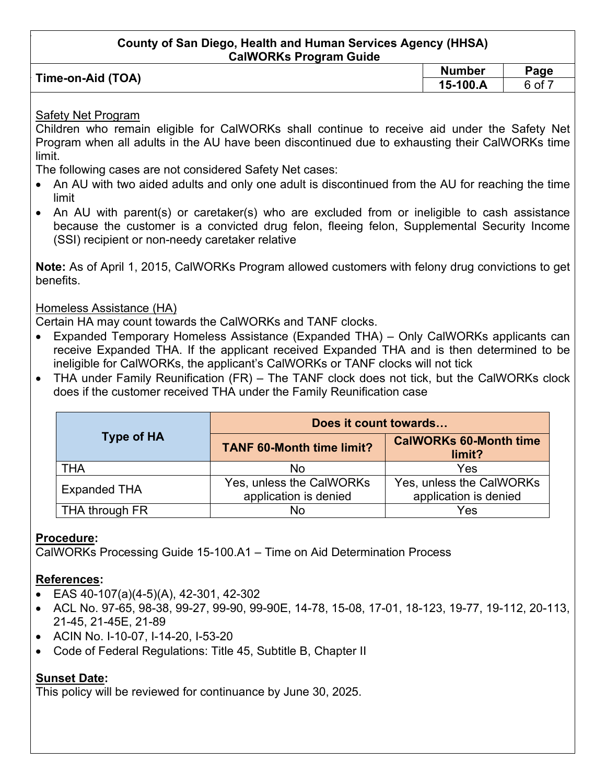| Time-on-Aid (TOA) | <b>Number</b> | Page |
|-------------------|---------------|------|
|                   | 15-100.A      | 6 of |
|                   |               |      |

### Safety Net Program

Children who remain eligible for CalWORKs shall continue to receive aid under the Safety Net Program when all adults in the AU have been discontinued due to exhausting their CalWORKs time limit.

The following cases are not considered Safety Net cases:

- An AU with two aided adults and only one adult is discontinued from the AU for reaching the time limit
- An AU with parent(s) or caretaker(s) who are excluded from or ineligible to cash assistance because the customer is a convicted drug felon, fleeing felon, Supplemental Security Income (SSI) recipient or non-needy caretaker relative

**Note:** As of April 1, 2015, CalWORKs Program allowed customers with felony drug convictions to get benefits.

### Homeless Assistance (HA)

Certain HA may count towards the CalWORKs and TANF clocks.

- Expanded Temporary Homeless Assistance (Expanded THA) Only CalWORKs applicants can receive Expanded THA. If the applicant received Expanded THA and is then determined to be ineligible for CalWORKs, the applicant's CalWORKs or TANF clocks will not tick
- THA under Family Reunification (FR) The TANF clock does not tick, but the CalWORKs clock does if the customer received THA under the Family Reunification case

|                     | Does it count towards                             |                                                   |  |
|---------------------|---------------------------------------------------|---------------------------------------------------|--|
| <b>Type of HA</b>   | <b>TANF 60-Month time limit?</b>                  | <b>CalWORKs 60-Month time</b><br>limit?           |  |
| <b>THA</b>          | No                                                | Yes                                               |  |
| <b>Expanded THA</b> | Yes, unless the CalWORKs<br>application is denied | Yes, unless the CalWORKs<br>application is denied |  |
| THA through FR      | No                                                | Yes                                               |  |

# **Procedure:**

CalWORKs Processing Guide 15-100.A1 – Time on Aid Determination Process

# **References:**

- EAS 40-107(a)(4-5)(A), 42-301, 42-302
- ACL No. 97-65, 98-38, 99-27, 99-90, 99-90E, 14-78, 15-08, 17-01, 18-123, 19-77, 19-112, 20-113, 21-45, 21-45E, 21-89
- ACIN No. I-10-07, I-14-20, I-53-20
- Code of Federal Regulations: Title 45, Subtitle B, Chapter II

# **Sunset Date:**

This policy will be reviewed for continuance by June 30, 2025.